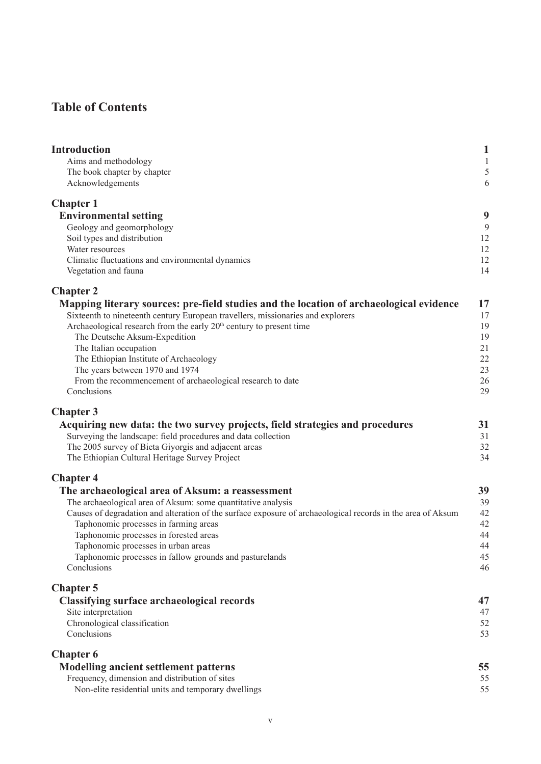## **Table of Contents**

| <b>Introduction</b>                                                                                         | 1            |
|-------------------------------------------------------------------------------------------------------------|--------------|
| Aims and methodology                                                                                        | $\mathbf{1}$ |
| The book chapter by chapter                                                                                 | 5            |
| Acknowledgements                                                                                            | 6            |
| <b>Chapter 1</b>                                                                                            |              |
| <b>Environmental setting</b>                                                                                | 9            |
| Geology and geomorphology                                                                                   | 9            |
| Soil types and distribution                                                                                 | 12           |
| Water resources                                                                                             | 12           |
| Climatic fluctuations and environmental dynamics<br>Vegetation and fauna                                    | 12<br>14     |
| <b>Chapter 2</b>                                                                                            |              |
| Mapping literary sources: pre-field studies and the location of archaeological evidence                     | 17           |
| Sixteenth to nineteenth century European travellers, missionaries and explorers                             | 17           |
| Archaeological research from the early 20 <sup>th</sup> century to present time                             | 19           |
| The Deutsche Aksum-Expedition                                                                               | 19           |
| The Italian occupation                                                                                      | 21           |
| The Ethiopian Institute of Archaeology                                                                      | 22           |
| The years between 1970 and 1974                                                                             | 23           |
| From the recommencement of archaeological research to date<br>Conclusions                                   | 26<br>29     |
| <b>Chapter 3</b>                                                                                            |              |
| Acquiring new data: the two survey projects, field strategies and procedures                                | 31           |
| Surveying the landscape: field procedures and data collection                                               | 31           |
| The 2005 survey of Bieta Giyorgis and adjacent areas                                                        | 32           |
| The Ethiopian Cultural Heritage Survey Project                                                              | 34           |
| <b>Chapter 4</b>                                                                                            |              |
| The archaeological area of Aksum: a reassessment                                                            | 39           |
| The archaeological area of Aksum: some quantitative analysis                                                | 39           |
| Causes of degradation and alteration of the surface exposure of archaeological records in the area of Aksum | 42           |
| Taphonomic processes in farming areas                                                                       | 42           |
| Taphonomic processes in forested areas                                                                      | 44           |
| Taphonomic processes in urban areas                                                                         | 44           |
| Taphonomic processes in fallow grounds and pasturelands<br>Conclusions                                      | 45<br>46     |
| <b>Chapter 5</b>                                                                                            |              |
| <b>Classifying surface archaeological records</b>                                                           | 47           |
| Site interpretation                                                                                         | 47           |
| Chronological classification                                                                                | 52           |
| Conclusions                                                                                                 | 53           |
| <b>Chapter 6</b>                                                                                            |              |
| <b>Modelling ancient settlement patterns</b>                                                                | 55           |
| Frequency, dimension and distribution of sites                                                              | 55           |